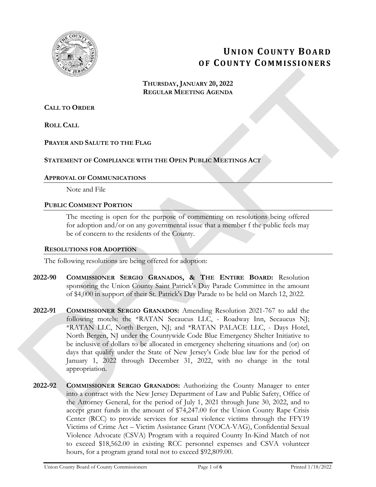

# **UNION COUNTY BOARD OF COUNTY COMMISSIONERS**

### **THURSDAY, JANUARY 20, 2022 REGULAR MEETING AGENDA**

### **CALL TO ORDER**

**ROLL CALL**

### **PRAYER AND SALUTE TO THE FLAG**

### **STATEMENT OF COMPLIANCE WITH THE OPEN PUBLIC MEETINGS ACT**

### **APPROVAL OF COMMUNICATIONS**

Note and File

### **PUBLIC COMMENT PORTION**

The meeting is open for the purpose of commenting on resolutions being offered for adoption and/or on any governmental issue that a member f the public feels may be of concern to the residents of the County.

### **RESOLUTIONS FOR ADOPTION**

The following resolutions are being offered for adoption:

- **2022-90 COMMISSIONER SERGIO GRANADOS, & THE ENTIRE BOARD:** Resolution sponsoring the Union County Saint Patrick's Day Parade Committee in the amount of \$4,000 in support of their St. Patrick's Day Parade to be held on March 12, 2022.
- **2022-91 COMMISSIONER SERGIO GRANADOS:** Amending Resolution 2021-767 to add the following motels: the \*RATAN Secaucus LLC, - Roadway Inn, Secaucus NJ; \*RATAN LLC, North Bergen, NJ; and \*RATAN PALACE LLC, - Days Hotel, North Bergen, NJ under the Countywide Code Blue Emergency Shelter Initiative to be inclusive of dollars to be allocated in emergency sheltering situations and (or) on days that qualify under the State of New Jersey's Code blue law for the period of January 1, 2022 through December 31, 2022, with no change in the total appropriation. **THERBOX, JANUARY 20, 2022**<br> **REGULAR MEETING GEENDA**<br> **REGULAR MEETING GEENDA**<br> **REGULAR MEETING GEENDA**<br> **REGULAR MEETING GEENDA**<br> **REGULAR MEETING SECTION**<br> **BUTTIER CONDUMNING WITH THE OPEN PUBLIC MEETING ACT**<br> **APPEN** 
	- **2022-92 COMMISSIONER SERGIO GRANADOS:** Authorizing the County Manager to enter into a contract with the New Jersey Department of Law and Public Safety, Office of the Attorney General, for the period of July 1, 2021 through June 30, 2022, and to accept grant funds in the amount of \$74,247.00 for the Union County Rape Crisis Center (RCC) to provide services for sexual violence victims through the FFY19 Victims of Crime Act – Victim Assistance Grant (VOCA-VAG), Confidential Sexual Violence Advocate (CSVA) Program with a required County In-Kind Match of not to exceed \$18,562.00 in existing RCC personnel expenses and CSVA volunteer hours, for a program grand total not to exceed \$92,809.00.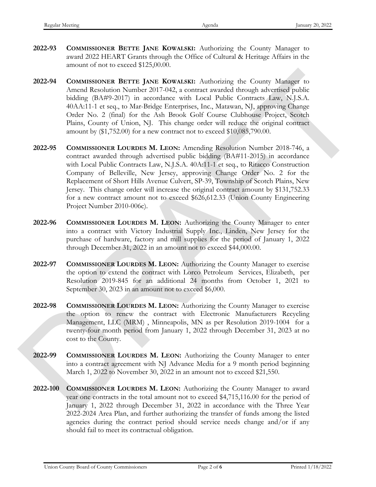- **2022-93 COMMISSIONER BETTE JANE KOWALSKI:** Authorizing the County Manager to award 2022 HEART Grants through the Office of Cultural & Heritage Affairs in the amount of not to exceed \$125,00.00.
- **2022-94 COMMISSIONER BETTE JANE KOWALSKI:** Authorizing the County Manager to Amend Resolution Number 2017-042, a contract awarded through advertised public bidding (BA#9-2017) in accordance with Local Public Contracts Law, N.J.S.A. 40AA:11-1 et seq., to Mar-Bridge Enterprises, Inc., Matawan, NJ, approving Change Order No. 2 (final) for the Ash Brook Golf Course Clubhouse Project, Scotch Plains, County of Union, NJ. This change order will reduce the original contract amount by (\$1,752.00) for a new contract not to exceed \$10,085,790.00.
- **2022-95 COMMISSIONER LOURDES M. LEON:** Amending Resolution Number 2018-746, a contract awarded through advertised public bidding (BA#11-2015) in accordance with Local Public Contracts Law, N.J.S.A. 40A:11-1 et seq., to Ritacco Construction Company of Belleville, New Jersey, approving Change Order No. 2 for the Replacement of Short Hills Avenue Culvert, SP-39, Township of Scotch Plains, New Jersey. This change order will increase the original contract amount by \$131,752.33 for a new contract amount not to exceed \$626,612.33 (Union County Engineering Project Number 2010-006c). 2022-94 **CONMISSIONER EFTER JANK KOWALSKE:** Authorizing the County Mashar to American Resolution Number 2017-012, a content convention therefore policies biology (DAP-2017) an accordance with Local Fishele Contents Law, b
	- **2022-96 COMMISSIONER LOURDES M. LEON:** Authorizing the County Manager to enter into a contract with Victory Industrial Supply Inc., Linden, New Jersey for the purchase of hardware, factory and mill supplies for the period of January 1, 2022 through December 31, 2022 in an amount not to exceed \$44,000.00.
	- **2022-97 COMMISSIONER LOURDES M. LEON:** Authorizing the County Manager to exercise the option to extend the contract with Lorco Petroleum Services, Elizabeth, per Resolution 2019-845 for an additional 24 months from October 1, 2021 to September 30, 2023 in an amount not to exceed \$6,000.
	- **2022-98 COMMISSIONER LOURDES M. LEON:** Authorizing the County Manager to exercise the option to renew the contract with Electronic Manufacturers Recycling Management, LLC (MRM) , Minneapolis, MN as per Resolution 2019-1004 for a twenty-four month period from January 1, 2022 through December 31, 2023 at no cost to the County.
	- **2022-99 COMMISSIONER LOURDES M. LEON:** Authorizing the County Manager to enter into a contract agreement with NJ Advance Media for a 9 month period beginning March 1, 2022 to November 30, 2022 in an amount not to exceed \$21,550.
	- **2022-100 COMMISSIONER LOURDES M. LEON:** Authorizing the County Manager to award year one contracts in the total amount not to exceed \$4,715,116.00 for the period of January 1, 2022 through December 31, 2022 in accordance with the Three Year 2022-2024 Area Plan, and further authorizing the transfer of funds among the listed agencies during the contract period should service needs change and/or if any should fail to meet its contractual obligation.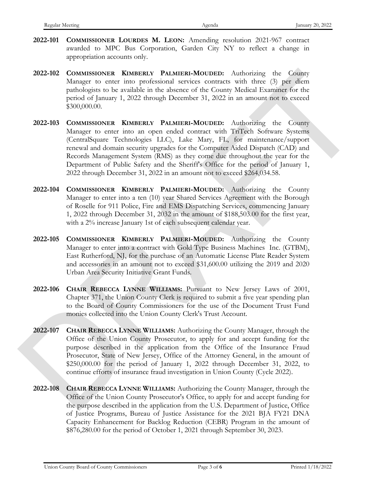- **2022-101 COMMISSIONER LOURDES M. LEON:** Amending resolution 2021-967 contract awarded to MPC Bus Corporation, Garden City NY to reflect a change in appropriation accounts only.
- **2022-102 COMMISSIONER KIMBERLY PALMIERI-MOUDED:** Authorizing the County Manager to enter into professional services contracts with three (3) per diem pathologists to be available in the absence of the County Medical Examiner for the period of January 1, 2022 through December 31, 2022 in an amount not to exceed \$300,000.00.
- **2022-103 COMMISSIONER KIMBERLY PALMIERI-MOUDED:** Authorizing the County Manager to enter into an open ended contract with TriTech Software Systems (CentralSquare Technologies LLC), Lake Mary, FL, for maintenance/support renewal and domain security upgrades for the Computer Aided Dispatch (CAD) and Records Management System (RMS) as they come due throughout the year for the Department of Public Safety and the Sheriff's Office for the period of January 1, 2022 through December 31, 2022 in an amount not to exceed \$264,034.58. 2022-102 CoMMISSONER KIMBERLY PALMITER-MOUDED, Anthonizag the Goingy<br>
Vienger to cate into probasional streaks enormous with three (3) per distance<br>
probably as the weakenbox of the desired of the County McMich Examiner f
	- **2022-104 COMMISSIONER KIMBERLY PALMIERI-MOUDED:** Authorizing the County Manager to enter into a ten (10) year Shared Services Agreement with the Borough of Roselle for 911 Police, Fire and EMS Dispatching Services, commencing January 1, 2022 through December 31, 2032 in the amount of \$188,503.00 for the first year, with a 2% increase January 1st of each subsequent calendar year.
	- **2022-105 COMMISSIONER KIMBERLY PALMIERI-MOUDED:** Authorizing the County Manager to enter into a contract with Gold Type Business Machines Inc. (GTBM), East Rutherford, NJ, for the purchase of an Automatic License Plate Reader System and accessories in an amount not to exceed \$31,600.00 utilizing the 2019 and 2020 Urban Area Security Initiative Grant Funds.
	- **2022-106 CHAIR REBECCA LYNNE WILLIAMS:** Pursuant to New Jersey Laws of 2001, Chapter 371, the Union County Clerk is required to submit a five year spending plan to the Board of County Commissioners for the use of the Document Trust Fund monies collected into the Union County Clerk's Trust Account.
	- **2022-107 CHAIR REBECCA LYNNE WILLIAMS:** Authorizing the County Manager, through the Office of the Union County Prosecutor, to apply for and accept funding for the purpose described in the application from the Office of the Insurance Fraud Prosecutor, State of New Jersey, Office of the Attorney General, in the amount of \$250,000.00 for the period of January 1, 2022 through December 31, 2022, to continue efforts of insurance fraud investigation in Union County (Cycle 2022).
	- **2022-108 CHAIR REBECCA LYNNE WILLIAMS:** Authorizing the County Manager, through the Office of the Union County Prosecutor's Office, to apply for and accept funding for the purpose described in the application from the U.S. Department of Justice, Office of Justice Programs, Bureau of Justice Assistance for the 2021 BJA FY21 DNA Capacity Enhancement for Backlog Reduction (CEBR) Program in the amount of \$876,280.00 for the period of October 1, 2021 through September 30, 2023.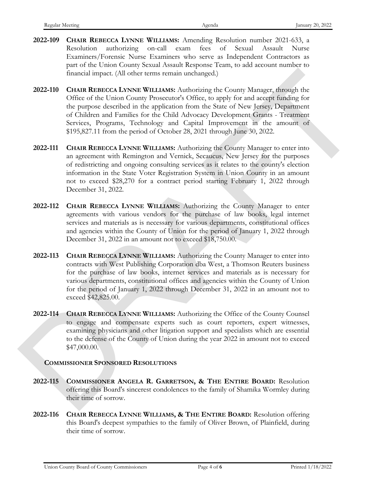- **2022-109 CHAIR REBECCA LYNNE WILLIAMS:** Amending Resolution number 2021-633, a Resolution authorizing on-call exam fees of Sexual Assault Nurse Examiners/Forensic Nurse Examiners who serve as Independent Contractors as part of the Union County Sexual Assault Response Team, to add account number to financial impact. (All other terms remain unchanged.)
- **2022-110 CHAIR REBECCA LYNNE WILLIAMS:** Authorizing the County Manager, through the Office of the Union County Prosecutor's Office, to apply for and accept funding for the purpose described in the application from the State of New Jersey, Department of Children and Families for the Child Advocacy Development Grants - Treatment Services, Programs, Technology and Capital Improvement in the amount of \$195,827.11 from the period of October 28, 2021 through June 30, 2022. Francoid impact; (All other terms remain unchanged)<br>
2022-110 CHAIR REHECCA DNNA WhutaMS Authorizing the County Manager, through the<br>
OHiec of the Lanon County Prosecuter's Other, to apply for and accept finding for<br>
the
	- **2022-111 CHAIR REBECCA LYNNE WILLIAMS:** Authorizing the County Manager to enter into an agreement with Remington and Vernick, Secaucus, New Jersey for the purposes of redistricting and ongoing consulting services as it relates to the county's election information in the State Voter Registration System in Union County in an amount not to exceed \$28,270 for a contract period starting February 1, 2022 through December 31, 2022.
	- **2022-112 CHAIR REBECCA LYNNE WILLIAMS:** Authorizing the County Manager to enter agreements with various vendors for the purchase of law books, legal internet services and materials as is necessary for various departments, constitutional offices and agencies within the County of Union for the period of January 1, 2022 through December 31, 2022 in an amount not to exceed \$18,750.00.
	- **2022-113 CHAIR REBECCA LYNNE WILLIAMS:** Authorizing the County Manager to enter into contracts with West Publishing Corporation dba West, a Thomson Reuters business for the purchase of law books, internet services and materials as is necessary for various departments, constitutional offices and agencies within the County of Union for the period of January 1, 2022 through December 31, 2022 in an amount not to exceed \$42,825.00.
	- **2022-114 CHAIR REBECCA LYNNE WILLIAMS:** Authorizing the Office of the County Counsel to engage and compensate experts such as court reporters, expert witnesses, examining physicians and other litigation support and specialists which are essential to the defense of the County of Union during the year 2022 in amount not to exceed \$47,000.00.

### **COMMISSIONER SPONSORED RESOLUTIONS**

- **2022-115 COMMISSIONER ANGELA R. GARRETSON, & THE ENTIRE BOARD:** Resolution offering this Board's sincerest condolences to the family of Shamika Wormley during their time of sorrow.
- **2022-116 CHAIR REBECCA LYNNE WILLIAMS, & THE ENTIRE BOARD:** Resolution offering this Board's deepest sympathies to the family of Oliver Brown, of Plainfield, during their time of sorrow.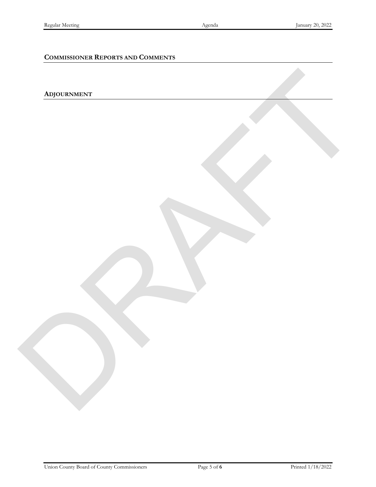### **COMMISSIONER REPORTS AND COMMENTS**

# **ADJOURNMENT** RAFT